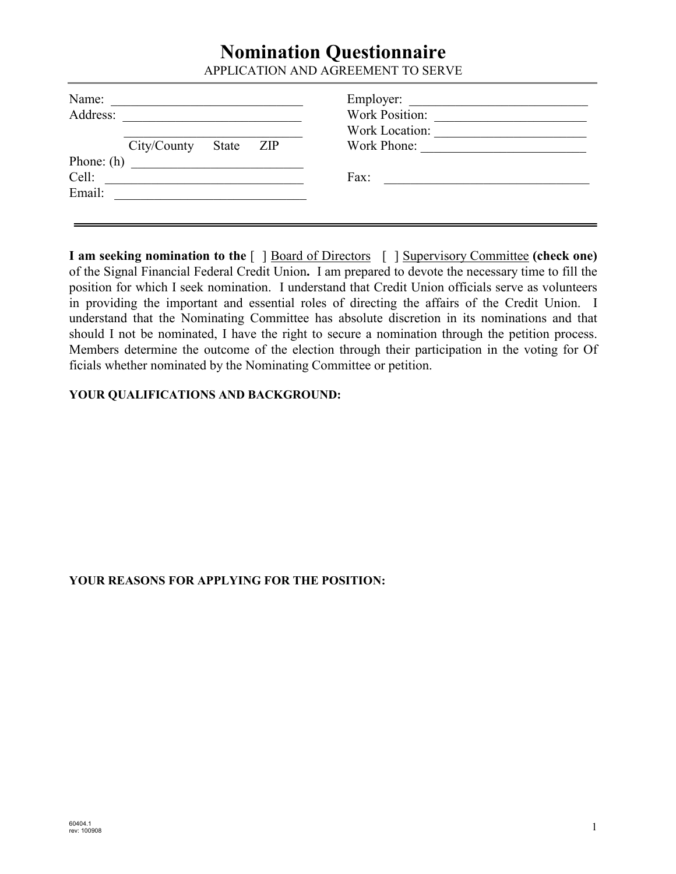## **Nomination Questionnaire**

APPLICATION AND AGREEMENT TO SERVE

| Name:        |                                              |       |     | Employer:             |
|--------------|----------------------------------------------|-------|-----|-----------------------|
| Address:     |                                              |       |     | <b>Work Position:</b> |
|              |                                              |       |     | Work Location:        |
|              | City/County                                  | State | ZIP | Work Phone:           |
| Phone: $(h)$ | <u> 1980 - Jan Samuel Barbara, martin di</u> |       |     |                       |
| Cell:        |                                              |       |     | Fax:                  |
| Email:       |                                              |       |     |                       |
|              |                                              |       |     |                       |

**I am seeking nomination to the** [ ] Board of Directors [ ] Supervisory Committee **(check one)** of the Signal Financial Federal Credit Union**.** I am prepared to devote the necessary time to fill the position for which I seek nomination. I understand that Credit Union officials serve as volunteers in providing the important and essential roles of directing the affairs of the Credit Union. I understand that the Nominating Committee has absolute discretion in its nominations and that should I not be nominated, I have the right to secure a nomination through the petition process. Members determine the outcome of the election through their participation in the voting for Of ficials whether nominated by the Nominating Committee or petition.

## **YOUR QUALIFICATIONS AND BACKGROUND:**

## **YOUR REASONS FOR APPLYING FOR THE POSITION:**